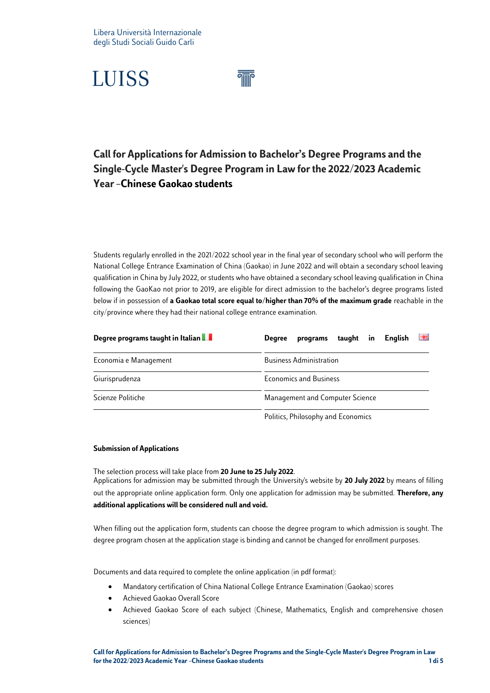

### **Call for Applicationsfor Admission to Bachelor's Degree Programs and the Single-Cycle Master's Degree Program in Law for the 2022/2023 Academic Year–Chinese Gaokao students**

Students regularly enrolled in the 2021/2022 school year in the final year of secondary school who will perform the National College Entrance Examination of China (Gaokao) in June 2022 and will obtain a secondary school leaving qualification in China by July 2022, or students who have obtained a secondary school leaving qualification in China following the GaoKao not prior to 2019, are eligible for direct admission to the bachelor's degree programs listed below if in possession of **a Gaokao total score equal to/higher than 70% of the maximum grade** reachable in the city/province where they had their national college entrance examination.

| Degree programs taught in Italian | 送還<br><b>Enalish</b><br>taught in<br>programs<br><b>Degree</b> |  |  |  |
|-----------------------------------|----------------------------------------------------------------|--|--|--|
| Economia e Management             | <b>Business Administration</b>                                 |  |  |  |
| Giurisprudenza                    | <b>Economics and Business</b>                                  |  |  |  |
| Scienze Politiche                 | Management and Computer Science                                |  |  |  |
|                                   | Politics, Philosophy and Economics                             |  |  |  |

#### **Submission of Applications**

The selection process will take place from **20 June to 25 July 2022**. Applications for admission may be submitted through the University's website by **20 July 2022** by means of filling out the appropriate online application form. Only one application for admission may be submitted. **Therefore, any additional applications will be considered null and void.**

When filling out the application form, students can choose the degree program to which admission is sought. The degree program chosen at the application stage is binding and cannot be changed for enrollment purposes.

Documents and data required to complete the online application (in pdf format):

- Mandatory certification of China National College Entrance Examination (Gaokao) scores
- Achieved Gaokao Overall Score
- Achieved Gaokao Score of each subject (Chinese, Mathematics, English and comprehensive chosen sciences)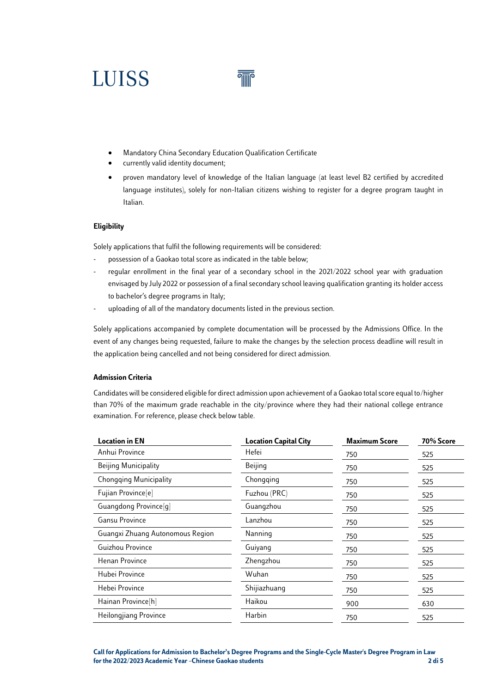

- Mandatory China Secondary Education Qualification Certificate
- currently valid identity document;
- proven mandatory level of knowledge of the Italian language (at least level B2 certified by accredited language institutes), solely for non-Italian citizens wishing to register for a degree program taught in Italian.

#### **Eligibility**

Solely applications that fulfil the following requirements will be considered:

- possession of a Gaokao total score as indicated in the table below;
- regular enrollment in the final year of a secondary school in the 2021/2022 school year with graduation envisaged by July 2022 or possession of a final secondary school leaving qualification granting its holder access to bachelor's degree programs in Italy;
- uploading of all of the mandatory documents listed in the previous section.

Solely applications accompanied by complete documentation will be processed by the Admissions Office. In the event of any changes being requested, failure to make the changes by the selection process deadline will result in the application being cancelled and not being considered for direct admission.

#### **Admission Criteria**

Candidates will be considered eligible for direct admission upon achievement of a Gaokao total score equal to/higher than 70% of the maximum grade reachable in the city/province where they had their national college entrance examination. For reference, please check below table.

| <b>Location in EN</b>            | <b>Location Capital City</b> | <b>Maximum Score</b> | 70% Score |
|----------------------------------|------------------------------|----------------------|-----------|
| Anhui Province                   | Hefei                        | 750                  | 525       |
| <b>Beijing Municipality</b>      | Beijing                      | 750                  | 525       |
| <b>Chongqing Municipality</b>    | Chongqing                    | 750                  | 525       |
| Fujian Province <sup>[e]</sup>   | Fuzhou (PRC)                 | 750                  | 525       |
| Guangdong Province[q]            | Guangzhou                    | 750                  | 525       |
| Gansu Province                   | Lanzhou                      | 750                  | 525       |
| Guangxi Zhuang Autonomous Region | Nanning                      | 750                  | 525       |
| Guizhou Province                 | Guiyang                      | 750                  | 525       |
| Henan Province                   | Zhengzhou                    | 750                  | 525       |
| Hubei Province                   | Wuhan                        | 750                  | 525       |
| Hebei Province                   | Shijiazhuang                 | 750                  | 525       |
| Hainan Province[h]               | Haikou                       | 900                  | 630       |
| Heilongjiang Province            | Harbin                       | 750                  | 525       |

**Call for Applications for Admission to Bachelor's Degree Programs and the Single-Cycle Master's Degree Program in Law for the 2022/2023 Academic Year –Chinese Gaokao students 2 di 5**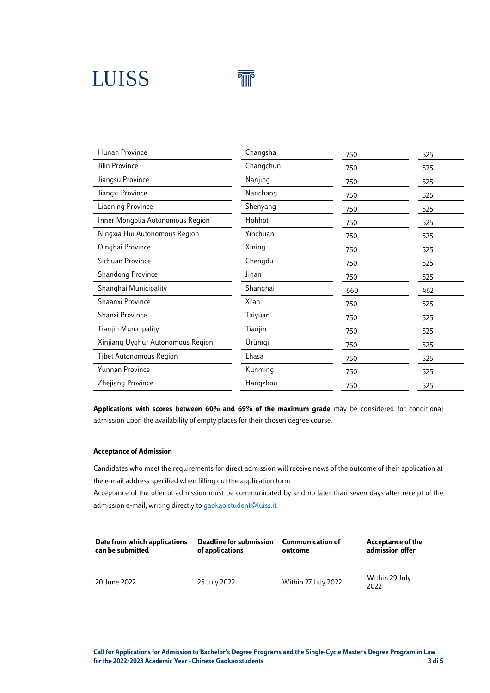

| Hunan Province                    | Changsha  | 750 | 525 |
|-----------------------------------|-----------|-----|-----|
| Jilin Province                    | Changchun | 750 | 525 |
| Jiangsu Province                  | Nanjing   | 750 | 525 |
| Jiangxi Province                  | Nanchang  | 750 | 525 |
| Liaoning Province                 | Shenyang  | 750 | 525 |
| Inner Mongolia Autonomous Region  | Hohhot    | 750 | 525 |
| Ningxia Hui Autonomous Region     | Yinchuan  | 750 | 525 |
| Qinghai Province                  | Xining    | 750 | 525 |
| Sichuan Province                  | Chengdu   | 750 | 525 |
| <b>Shandong Province</b>          | Jinan     | 750 | 525 |
| Shanghai Municipality             | Shanghai  | 660 | 462 |
| Shaanxi Province                  | Xi'an     | 750 | 525 |
| Shanxi Province                   | Taiyuan   | 750 | 525 |
| <b>Tianjin Municipality</b>       | Tianjin   | 750 | 525 |
| Xinjiang Uyghur Autonomous Region | Ürümqi    | 750 | 525 |
| <b>Tibet Autonomous Region</b>    | Lhasa     | 750 | 525 |
| Yunnan Province                   | Kunming   | 750 | 525 |
| Zhejiang Province                 | Hangzhou  | 750 | 525 |
|                                   |           |     |     |

**Applications with scores between 60% and 69% of the maximum grade** may be considered for conditional admission upon the availability of empty places for their chosen degree course.

#### **Acceptance of Admission**

Candidates who meet the requirements for direct admission will receive news of the outcome of their application at the e-mail address specified when filling out the application form.

Acceptance of the offer of admission must be communicated by and no later than seven days after receipt of the admission e-mail, writing directly to [gaokao.student@luiss.it.](mailto:gaokao.student@luiss.it)

| Date from which applications | Deadline for submission | <b>Communication of</b> | Acceptance of the      |
|------------------------------|-------------------------|-------------------------|------------------------|
| can be submitted             | of applications         | outcome                 | admission offer        |
| 20 June 2022                 | 25 July 2022            | Within 27 July 2022     | Within 29 July<br>2022 |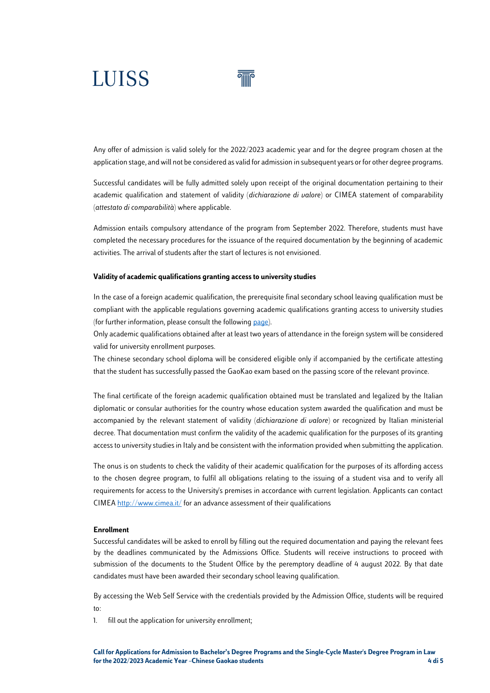Any offer of admission is valid solely for the 2022/2023 academic year and for the degree program chosen at the application stage, and will not be considered as valid for admission in subsequent years or for other degree programs.

Successful candidates will be fully admitted solely upon receipt of the original documentation pertaining to their academic qualification and statement of validity (*dichiarazione di valore*) or CIMEA statement of comparability (*attestato di comparabilità*) where applicable.

Admission entails compulsory attendance of the program from September 2022. Therefore, students must have completed the necessary procedures for the issuance of the required documentation by the beginning of academic activities. The arrival of students after the start of lectures is not envisioned.

#### **Validity of academic qualifications granting access to university studies**

In the case of a foreign academic qualification, the prerequisite final secondary school leaving qualification must be compliant with the applicable regulations governing academic qualifications granting access to university studies (for further information, please consult the followin[g page\)](https://www.luiss.it/ammissione/ammissione-triennali/studenti-titolo-straniero).

Only academic qualifications obtained after at least two years of attendance in the foreign system will be considered valid for university enrollment purposes.

The chinese secondary school diploma will be considered eligible only if accompanied by the certificate attesting that the student has successfully passed the GaoKao exam based on the passing score of the relevant province.

The final certificate of the foreign academic qualification obtained must be translated and legalized by the Italian diplomatic or consular authorities for the country whose education system awarded the qualification and must be accompanied by the relevant statement of validity (*dichiarazione di valore*) or recognized by Italian ministerial decree. That documentation must confirm the validity of the academic qualification for the purposes of its granting access to university studies in Italy and be consistent with the information provided when submitting the application.

The onus is on students to check the validity of their academic qualification for the purposes of its affording access to the chosen degree program, to fulfil all obligations relating to the issuing of a student visa and to verify all requirements for access to the University's premises in accordance with current legislation. Applicants can contact CIME[A http://www.cimea.it/](http://www.cimea.it/) for an advance assessment of their qualifications

#### **Enrollment**

Successful candidates will be asked to enroll by filling out the required documentation and paying the relevant fees by the deadlines communicated by the Admissions Office. Students will receive instructions to proceed with submission of the documents to the Student Office by the peremptory deadline of 4 august 2022. By that date candidates must have been awarded their secondary school leaving qualification.

By accessing the Web Self Service with the credentials provided by the Admission Office, students will be required to:

1. fill out the application for university enrollment;